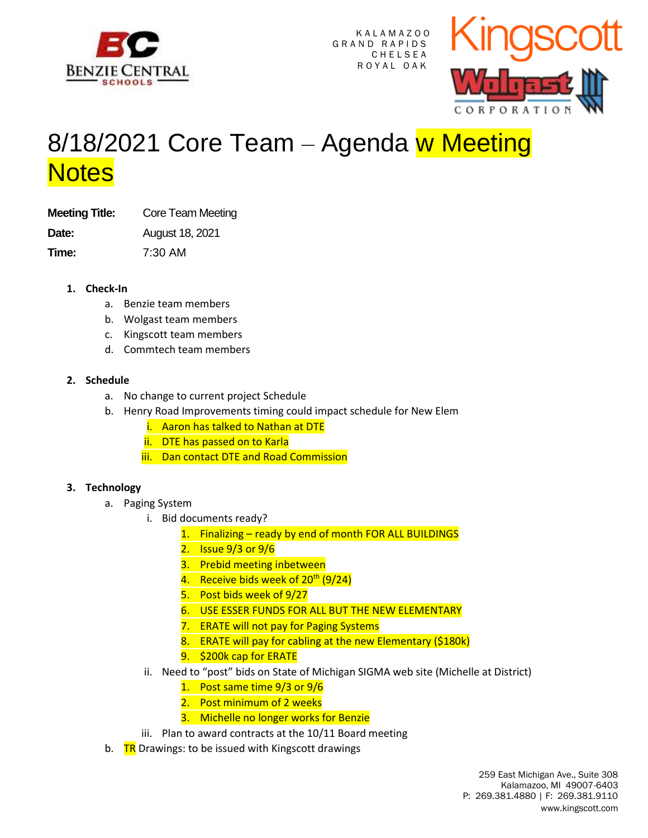

K A L A M A Z O O GRAND RAPIDS **CHELSEA** R O Y A L O A K



# 8/18/2021 Core Team - Agenda w Meeting **Notes**

**Meeting Title:** Core Team Meeting

**Date:** August 18, 2021

**Time:** 7:30 AM

## **1. Check-In**

- a. Benzie team members
- b. Wolgast team members
- c. Kingscott team members
- d. Commtech team members

#### **2. Schedule**

- a. No change to current project Schedule
- b. Henry Road Improvements timing could impact schedule for New Elem
	- i. Aaron has talked to Nathan at DTE
	- ii. DTE has passed on to Karla
	- iii. Dan contact DTE and Road Commission

# **3. Technology**

- a. Paging System
	- i. Bid documents ready?
		- 1. Finalizing ready by end of month FOR ALL BUILDINGS
		- 2. Issue 9/3 or 9/6
		- 3. Prebid meeting inbetween
		- 4. Receive bids week of  $20<sup>th</sup>$  (9/24)
		- 5. Post bids week of 9/27
		- 6. USE ESSER FUNDS FOR ALL BUT THE NEW ELEMENTARY
		- 7. ERATE will not pay for Paging Systems
		- 8. ERATE will pay for cabling at the new Elementary (\$180k)
		- 9. \$200k cap for ERATE
		- ii. Need to "post" bids on State of Michigan SIGMA web site (Michelle at District)
			- 1. Post same time 9/3 or 9/6
			- 2. Post minimum of 2 weeks
			- 3. Michelle no longer works for Benzie
	- iii. Plan to award contracts at the 10/11 Board meeting
- b. TR Drawings: to be issued with Kingscott drawings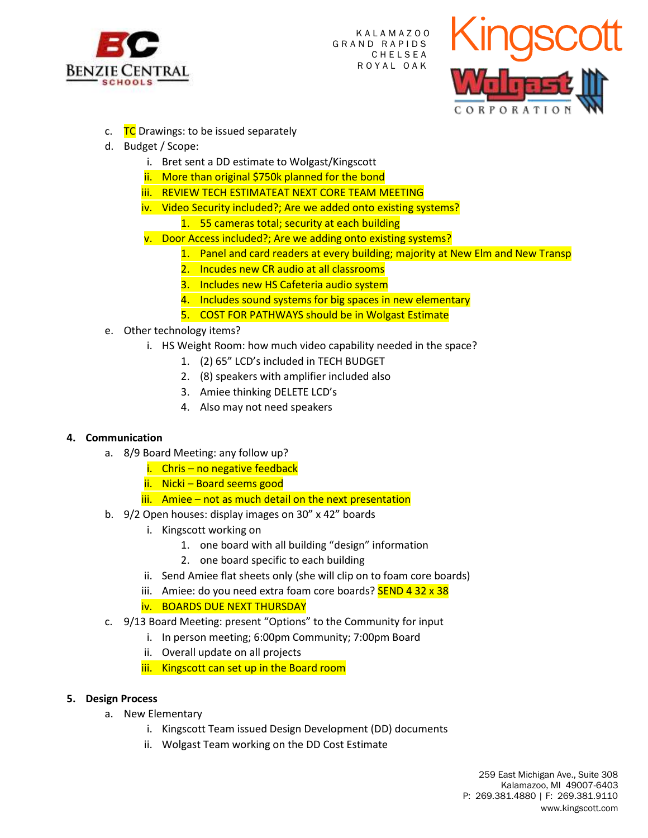

K A L A M A Z O O GRAND RAPIDS **CHELSEA** R O Y A L O A K



- c.  $TC$  Drawings: to be issued separately
- d. Budget / Scope:
	- i. Bret sent a DD estimate to Wolgast/Kingscott
	- ii. More than original \$750k planned for the bond
	- iii. REVIEW TECH ESTIMATEAT NEXT CORE TEAM MEETING
	- iv. Video Security included?; Are we added onto existing systems?
		- 1. 55 cameras total; security at each building
	- v. Door Access included?; Are we adding onto existing systems?
		- 1. Panel and card readers at every building; majority at New Elm and New Transp
		- 2. Incudes new CR audio at all classrooms
		- 3. Includes new HS Cafeteria audio system
		- 4. Includes sound systems for big spaces in new elementary
		- 5. COST FOR PATHWAYS should be in Wolgast Estimate
- e. Other technology items?
	- i. HS Weight Room: how much video capability needed in the space?
		- 1. (2) 65" LCD's included in TECH BUDGET
			- 2. (8) speakers with amplifier included also
			- 3. Amiee thinking DELETE LCD's
			- 4. Also may not need speakers

#### **4. Communication**

- a. 8/9 Board Meeting: any follow up?
	- i. Chris no negative feedback
	- ii. Nicki Board seems good
	- iii. Amiee not as much detail on the next presentation
- b. 9/2 Open houses: display images on 30" x 42" boards
	- i. Kingscott working on
		- 1. one board with all building "design" information
		- 2. one board specific to each building
	- ii. Send Amiee flat sheets only (she will clip on to foam core boards)
	- iii. Amiee: do you need extra foam core boards? **SEND 4 32 x 38**
	- iv. BOARDS DUE NEXT THURSDAY
- c. 9/13 Board Meeting: present "Options" to the Community for input
	- i. In person meeting; 6:00pm Community; 7:00pm Board
	- ii. Overall update on all projects
	- iii. Kingscott can set up in the Board room

#### **5. Design Process**

- a. New Elementary
	- i. Kingscott Team issued Design Development (DD) documents
	- ii. Wolgast Team working on the DD Cost Estimate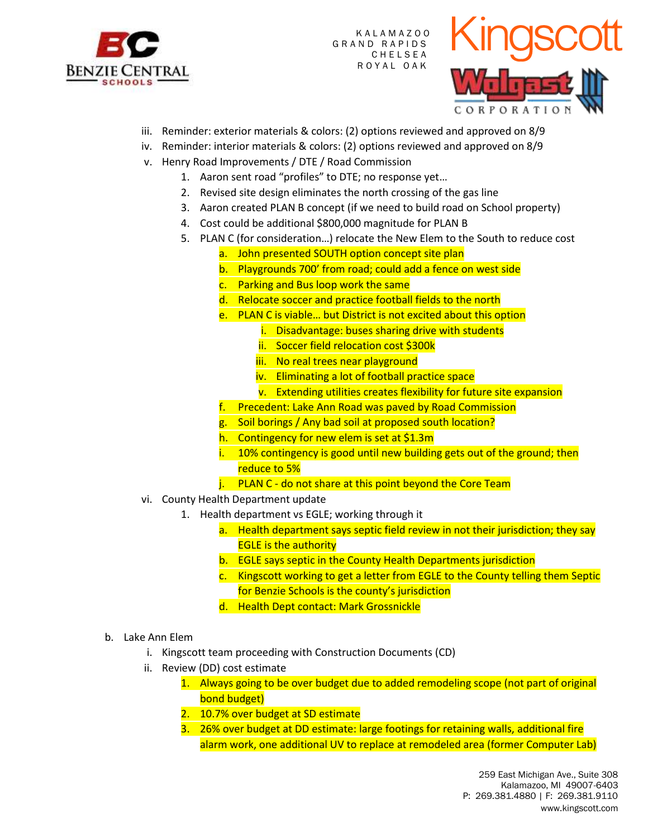

K A L A M A Z O O GRAND RAPIDS C H E L S E A R O Y A L O A K



- iii. Reminder: exterior materials & colors: (2) options reviewed and approved on 8/9
- iv. Reminder: interior materials & colors: (2) options reviewed and approved on 8/9
- v. Henry Road Improvements / DTE / Road Commission
	- 1. Aaron sent road "profiles" to DTE; no response yet…
	- 2. Revised site design eliminates the north crossing of the gas line
	- 3. Aaron created PLAN B concept (if we need to build road on School property)
	- 4. Cost could be additional \$800,000 magnitude for PLAN B
	- 5. PLAN C (for consideration…) relocate the New Elem to the South to reduce cost
		- a. John presented SOUTH option concept site plan
		- b. Playgrounds 700' from road; could add a fence on west side
		- c. Parking and Bus loop work the same
		- d. Relocate soccer and practice football fields to the north
		- e. PLAN C is viable… but District is not excited about this option
			- i. Disadvantage: buses sharing drive with students
			- ii. Soccer field relocation cost \$300k
			- iii. No real trees near playground
			- iv. Eliminating a lot of football practice space
			- v. Extending utilities creates flexibility for future site expansion
		- f. Precedent: Lake Ann Road was paved by Road Commission
		- g. Soil borings / Any bad soil at proposed south location?
		- h. Contingency for new elem is set at \$1.3m
		- i. 10% contingency is good until new building gets out of the ground; then reduce to 5%
		- j. PLAN C do not share at this point beyond the Core Team
- vi. County Health Department update
	- 1. Health department vs EGLE; working through it
		- a. Health department says septic field review in not their jurisdiction; they say EGLE is the authority
		- b. EGLE says septic in the County Health Departments jurisdiction
		- c. Kingscott working to get a letter from EGLE to the County telling them Septic for Benzie Schools is the county's jurisdiction
		- d. Health Dept contact: Mark Grossnickle
- b. Lake Ann Elem
	- i. Kingscott team proceeding with Construction Documents (CD)
	- ii. Review (DD) cost estimate
		- 1. Always going to be over budget due to added remodeling scope (not part of original bond budget)
		- 2. 10.7% over budget at SD estimate
		- 3. 26% over budget at DD estimate: large footings for retaining walls, additional fire alarm work, one additional UV to replace at remodeled area (former Computer Lab)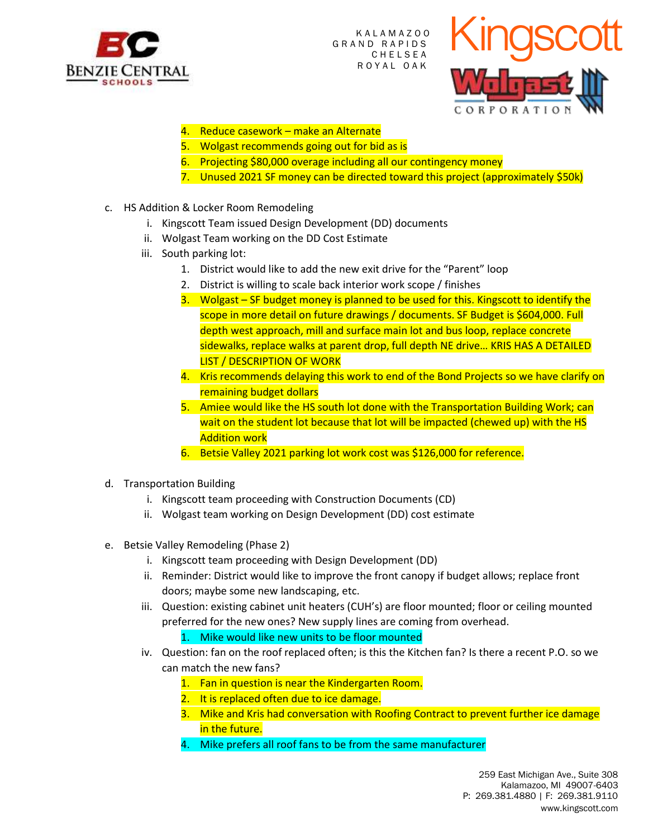

K A L A M A Z O O GRAND RAPIDS C H E L S E A R O Y A L O A K



- 4. Reduce casework make an Alternate
- 5. Wolgast recommends going out for bid as is
- 6. Projecting \$80,000 overage including all our contingency money
- 7. Unused 2021 SF money can be directed toward this project (approximately \$50k)
- c. HS Addition & Locker Room Remodeling
	- i. Kingscott Team issued Design Development (DD) documents
	- ii. Wolgast Team working on the DD Cost Estimate
	- iii. South parking lot:
		- 1. District would like to add the new exit drive for the "Parent" loop
		- 2. District is willing to scale back interior work scope / finishes
		- 3. Wolgast SF budget money is planned to be used for this. Kingscott to identify the scope in more detail on future drawings / documents. SF Budget is \$604,000. Full depth west approach, mill and surface main lot and bus loop, replace concrete sidewalks, replace walks at parent drop, full depth NE drive… KRIS HAS A DETAILED LIST / DESCRIPTION OF WORK
		- 4. Kris recommends delaying this work to end of the Bond Projects so we have clarify on remaining budget dollars
		- 5. Amiee would like the HS south lot done with the Transportation Building Work; can wait on the student lot because that lot will be impacted (chewed up) with the HS Addition work
		- 6. Betsie Valley 2021 parking lot work cost was \$126,000 for reference.
- d. Transportation Building
	- i. Kingscott team proceeding with Construction Documents (CD)
	- ii. Wolgast team working on Design Development (DD) cost estimate
- e. Betsie Valley Remodeling (Phase 2)
	- i. Kingscott team proceeding with Design Development (DD)
	- ii. Reminder: District would like to improve the front canopy if budget allows; replace front doors; maybe some new landscaping, etc.
	- iii. Question: existing cabinet unit heaters (CUH's) are floor mounted; floor or ceiling mounted preferred for the new ones? New supply lines are coming from overhead.

# 1. Mike would like new units to be floor mounted

- iv. Question: fan on the roof replaced often; is this the Kitchen fan? Is there a recent P.O. so we can match the new fans?
	- 1. Fan in question is near the Kindergarten Room.
	- 2. It is replaced often due to ice damage.
	- 3. Mike and Kris had conversation with Roofing Contract to prevent further ice damage in the future.
	- 4. Mike prefers all roof fans to be from the same manufacturer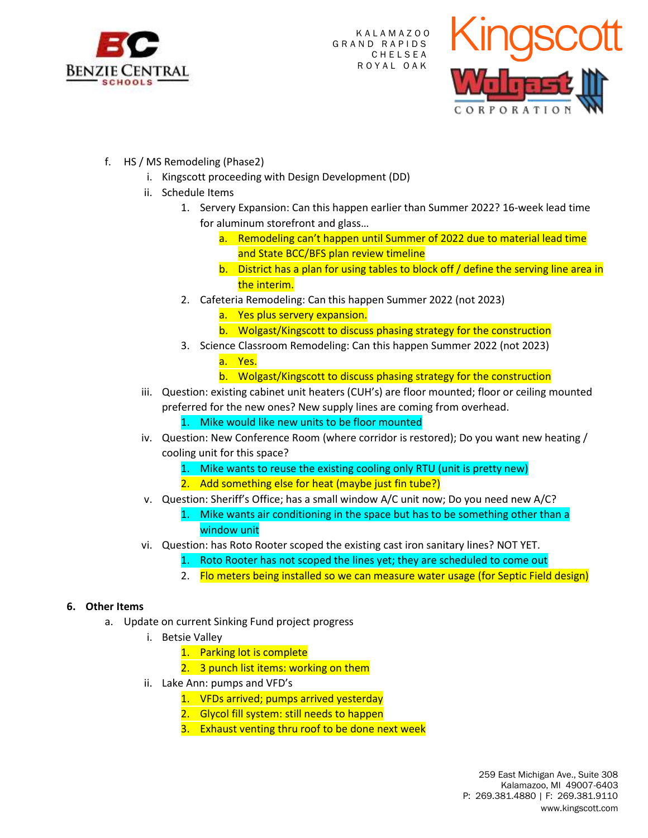

K A L A M A Z O O GRAND RAPIDS **CHELSEA** R O Y A L O A K



- f. HS / MS Remodeling (Phase2)
	- i. Kingscott proceeding with Design Development (DD)
	- ii. Schedule Items
		- 1. Servery Expansion: Can this happen earlier than Summer 2022? 16-week lead time for aluminum storefront and glass…
			- a. Remodeling can't happen until Summer of 2022 due to material lead time and State BCC/BFS plan review timeline
			- b. District has a plan for using tables to block off / define the serving line area in the interim.
		- 2. Cafeteria Remodeling: Can this happen Summer 2022 (not 2023)
			- a. Yes plus servery expansion.
			- b. Wolgast/Kingscott to discuss phasing strategy for the construction
		- 3. Science Classroom Remodeling: Can this happen Summer 2022 (not 2023) a. Yes.
			- b. Wolgast/Kingscott to discuss phasing strategy for the construction
	- iii. Question: existing cabinet unit heaters (CUH's) are floor mounted; floor or ceiling mounted preferred for the new ones? New supply lines are coming from overhead.
		- 1. Mike would like new units to be floor mounted
	- iv. Question: New Conference Room (where corridor is restored); Do you want new heating / cooling unit for this space?
		- 1. Mike wants to reuse the existing cooling only RTU (unit is pretty new)
		- 2. Add something else for heat (maybe just fin tube?)
	- v. Question: Sheriff's Office; has a small window A/C unit now; Do you need new A/C?
		- 1. Mike wants air conditioning in the space but has to be something other than a window unit
	- vi. Question: has Roto Rooter scoped the existing cast iron sanitary lines? NOT YET.
		- 1. Roto Rooter has not scoped the lines yet; they are scheduled to come out
		- 2. Flo meters being installed so we can measure water usage (for Septic Field design)

#### **6. Other Items**

- a. Update on current Sinking Fund project progress
	- i. Betsie Valley
		- 1. Parking lot is complete
		- 2. 3 punch list items: working on them
	- ii. Lake Ann: pumps and VFD's
		- 1. VFDs arrived; pumps arrived yesterday
		- 2. Glycol fill system: still needs to happen
		- 3. Exhaust venting thru roof to be done next week